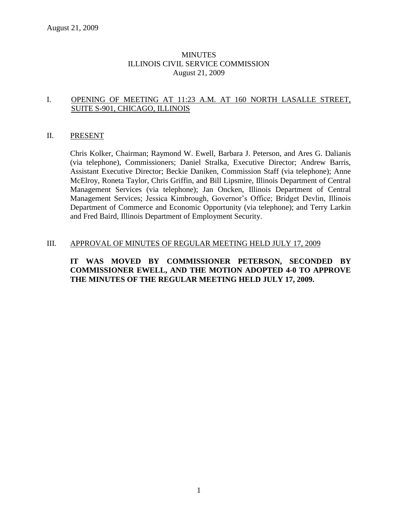### **MINUTES** ILLINOIS CIVIL SERVICE COMMISSION August 21, 2009

### I. OPENING OF MEETING AT 11:23 A.M. AT 160 NORTH LASALLE STREET, SUITE S-901, CHICAGO, ILLINOIS

### II. PRESENT

Chris Kolker, Chairman; Raymond W. Ewell, Barbara J. Peterson, and Ares G. Dalianis (via telephone), Commissioners; Daniel Stralka, Executive Director; Andrew Barris, Assistant Executive Director; Beckie Daniken, Commission Staff (via telephone); Anne McElroy, Roneta Taylor, Chris Griffin, and Bill Lipsmire, Illinois Department of Central Management Services (via telephone); Jan Oncken, Illinois Department of Central Management Services; Jessica Kimbrough, Governor's Office; Bridget Devlin, Illinois Department of Commerce and Economic Opportunity (via telephone); and Terry Larkin and Fred Baird, Illinois Department of Employment Security.

### III. APPROVAL OF MINUTES OF REGULAR MEETING HELD JULY 17, 2009

### **IT WAS MOVED BY COMMISSIONER PETERSON, SECONDED BY COMMISSIONER EWELL, AND THE MOTION ADOPTED 4-0 TO APPROVE THE MINUTES OF THE REGULAR MEETING HELD JULY 17, 2009.**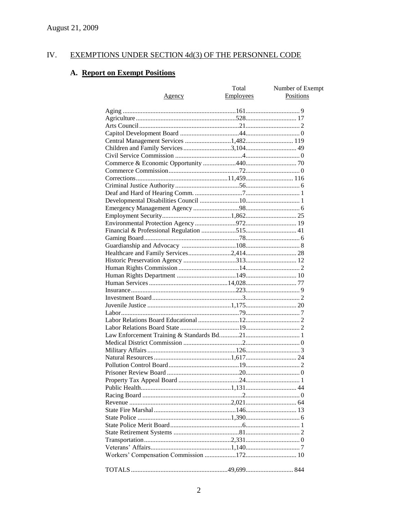#### EXEMPTIONS UNDER SECTION 4d(3) OF THE PERSONNEL CODE IV.

# A. Report on Exempt Positions

| Number of Exempt<br><b>Employees</b><br>Positions<br><u>Agency</u> |  |
|--------------------------------------------------------------------|--|
|                                                                    |  |
|                                                                    |  |
|                                                                    |  |
|                                                                    |  |
|                                                                    |  |
|                                                                    |  |
| Central Management Services 1,482 119                              |  |
|                                                                    |  |
|                                                                    |  |
|                                                                    |  |
|                                                                    |  |
|                                                                    |  |
|                                                                    |  |
|                                                                    |  |
|                                                                    |  |
|                                                                    |  |
|                                                                    |  |
|                                                                    |  |
|                                                                    |  |
|                                                                    |  |
|                                                                    |  |
|                                                                    |  |
|                                                                    |  |
|                                                                    |  |
|                                                                    |  |
|                                                                    |  |
|                                                                    |  |
|                                                                    |  |
|                                                                    |  |
|                                                                    |  |
|                                                                    |  |
|                                                                    |  |
|                                                                    |  |
|                                                                    |  |
|                                                                    |  |
|                                                                    |  |
|                                                                    |  |
|                                                                    |  |
|                                                                    |  |
|                                                                    |  |
|                                                                    |  |
|                                                                    |  |
|                                                                    |  |
|                                                                    |  |
|                                                                    |  |
|                                                                    |  |
|                                                                    |  |
|                                                                    |  |
|                                                                    |  |
|                                                                    |  |
|                                                                    |  |
|                                                                    |  |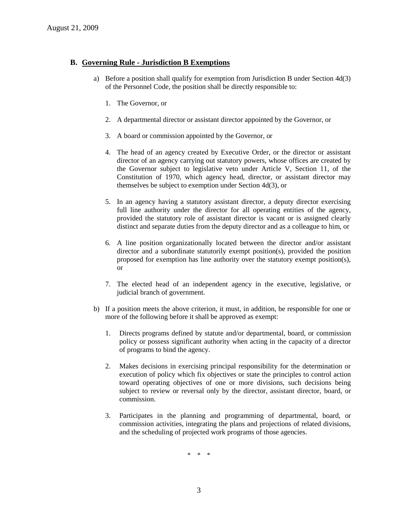### **B. Governing Rule - Jurisdiction B Exemptions**

- a) Before a position shall qualify for exemption from Jurisdiction B under Section 4d(3) of the Personnel Code, the position shall be directly responsible to:
	- 1. The Governor, or
	- 2. A departmental director or assistant director appointed by the Governor, or
	- 3. A board or commission appointed by the Governor, or
	- 4. The head of an agency created by Executive Order, or the director or assistant director of an agency carrying out statutory powers, whose offices are created by the Governor subject to legislative veto under Article V, Section 11, of the Constitution of 1970, which agency head, director, or assistant director may themselves be subject to exemption under Section 4d(3), or
	- 5. In an agency having a statutory assistant director, a deputy director exercising full line authority under the director for all operating entities of the agency, provided the statutory role of assistant director is vacant or is assigned clearly distinct and separate duties from the deputy director and as a colleague to him, or
	- 6. A line position organizationally located between the director and/or assistant director and a subordinate statutorily exempt position(s), provided the position proposed for exemption has line authority over the statutory exempt position(s), or
	- 7. The elected head of an independent agency in the executive, legislative, or judicial branch of government.
- b) If a position meets the above criterion, it must, in addition, be responsible for one or more of the following before it shall be approved as exempt:
	- 1. Directs programs defined by statute and/or departmental, board, or commission policy or possess significant authority when acting in the capacity of a director of programs to bind the agency.
	- 2. Makes decisions in exercising principal responsibility for the determination or execution of policy which fix objectives or state the principles to control action toward operating objectives of one or more divisions, such decisions being subject to review or reversal only by the director, assistant director, board, or commission.
	- 3. Participates in the planning and programming of departmental, board, or commission activities, integrating the plans and projections of related divisions, and the scheduling of projected work programs of those agencies.

\* \* \*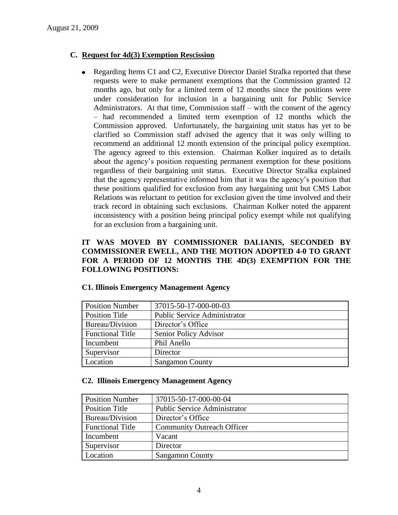## **C. Request for 4d(3) Exemption Rescission**

Regarding Items C1 and C2, Executive Director Daniel Stralka reported that these  $\bullet$ requests were to make permanent exemptions that the Commission granted 12 months ago, but only for a limited term of 12 months since the positions were under consideration for inclusion in a bargaining unit for Public Service Administrators. At that time, Commission staff – with the consent of the agency – had recommended a limited term exemption of 12 months which the Commission approved. Unfortunately, the bargaining unit status has yet to be clarified so Commission staff advised the agency that it was only willing to recommend an additional 12 month extension of the principal policy exemption. The agency agreed to this extension. Chairman Kolker inquired as to details about the agency's position requesting permanent exemption for these positions regardless of their bargaining unit status. Executive Director Stralka explained that the agency representative informed him that it was the agency's position that these positions qualified for exclusion from any bargaining unit but CMS Labor Relations was reluctant to petition for exclusion given the time involved and their track record in obtaining such exclusions. Chairman Kolker noted the apparent inconsistency with a position being principal policy exempt while not qualifying for an exclusion from a bargaining unit.

## **IT WAS MOVED BY COMMISSIONER DALIANIS, SECONDED BY COMMISSIONER EWELL, AND THE MOTION ADOPTED 4-0 TO GRANT FOR A PERIOD OF 12 MONTHS THE 4D(3) EXEMPTION FOR THE FOLLOWING POSITIONS:**

| <b>Position Number</b>  | 37015-50-17-000-00-03               |
|-------------------------|-------------------------------------|
| <b>Position Title</b>   | <b>Public Service Administrator</b> |
| Bureau/Division         | Director's Office                   |
| <b>Functional Title</b> | Senior Policy Advisor               |
| Incumbent               | Phil Anello                         |
| Supervisor              | Director                            |
| Location                | <b>Sangamon County</b>              |

### **C1. Illinois Emergency Management Agency**

### **C2. Illinois Emergency Management Agency**

| <b>Position Number</b>  | 37015-50-17-000-00-04               |
|-------------------------|-------------------------------------|
| <b>Position Title</b>   | <b>Public Service Administrator</b> |
| Bureau/Division         | Director's Office                   |
| <b>Functional Title</b> | <b>Community Outreach Officer</b>   |
| Incumbent               | Vacant                              |
| Supervisor              | Director                            |
| Location                | <b>Sangamon County</b>              |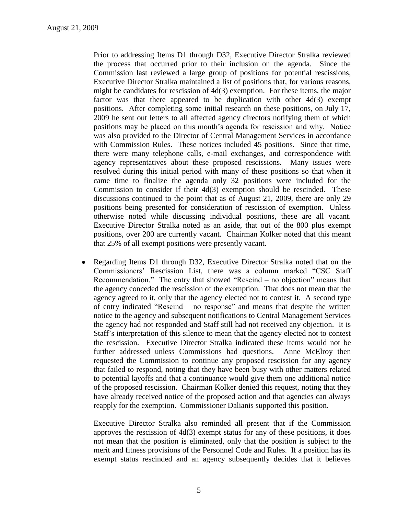Prior to addressing Items D1 through D32, Executive Director Stralka reviewed the process that occurred prior to their inclusion on the agenda. Since the Commission last reviewed a large group of positions for potential rescissions, Executive Director Stralka maintained a list of positions that, for various reasons, might be candidates for rescission of 4d(3) exemption. For these items, the major factor was that there appeared to be duplication with other  $4d(3)$  exempt positions. After completing some initial research on these positions, on July 17, 2009 he sent out letters to all affected agency directors notifying them of which positions may be placed on this month's agenda for rescission and why. Notice was also provided to the Director of Central Management Services in accordance with Commission Rules. These notices included 45 positions. Since that time, there were many telephone calls, e-mail exchanges, and correspondence with agency representatives about these proposed rescissions. Many issues were resolved during this initial period with many of these positions so that when it came time to finalize the agenda only 32 positions were included for the Commission to consider if their 4d(3) exemption should be rescinded. These discussions continued to the point that as of August 21, 2009, there are only 29 positions being presented for consideration of rescission of exemption. Unless otherwise noted while discussing individual positions, these are all vacant. Executive Director Stralka noted as an aside, that out of the 800 plus exempt positions, over 200 are currently vacant. Chairman Kolker noted that this meant that 25% of all exempt positions were presently vacant.

Regarding Items D1 through D32, Executive Director Stralka noted that on the  $\bullet$ Commissioners' Rescission List, there was a column marked "CSC Staff Recommendation." The entry that showed "Rescind – no objection" means that the agency conceded the rescission of the exemption. That does not mean that the agency agreed to it, only that the agency elected not to contest it. A second type of entry indicated "Rescind – no response" and means that despite the written notice to the agency and subsequent notifications to Central Management Services the agency had not responded and Staff still had not received any objection. It is Staff's interpretation of this silence to mean that the agency elected not to contest the rescission. Executive Director Stralka indicated these items would not be further addressed unless Commissions had questions. Anne McElroy then requested the Commission to continue any proposed rescission for any agency that failed to respond, noting that they have been busy with other matters related to potential layoffs and that a continuance would give them one additional notice of the proposed rescission. Chairman Kolker denied this request, noting that they have already received notice of the proposed action and that agencies can always reapply for the exemption. Commissioner Dalianis supported this position.

Executive Director Stralka also reminded all present that if the Commission approves the rescission of 4d(3) exempt status for any of these positions, it does not mean that the position is eliminated, only that the position is subject to the merit and fitness provisions of the Personnel Code and Rules. If a position has its exempt status rescinded and an agency subsequently decides that it believes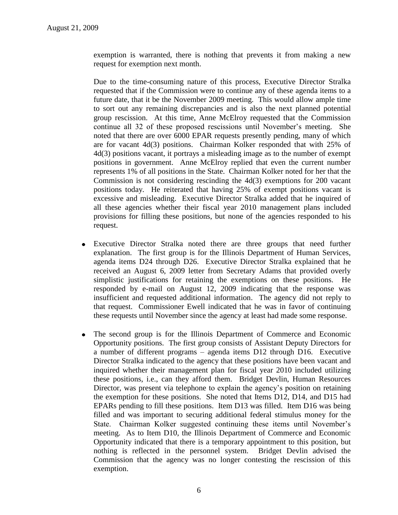exemption is warranted, there is nothing that prevents it from making a new request for exemption next month.

Due to the time-consuming nature of this process, Executive Director Stralka requested that if the Commission were to continue any of these agenda items to a future date, that it be the November 2009 meeting. This would allow ample time to sort out any remaining discrepancies and is also the next planned potential group rescission. At this time, Anne McElroy requested that the Commission continue all 32 of these proposed rescissions until November's meeting. She noted that there are over 6000 EPAR requests presently pending, many of which are for vacant 4d(3) positions. Chairman Kolker responded that with 25% of 4d(3) positions vacant, it portrays a misleading image as to the number of exempt positions in government. Anne McElroy replied that even the current number represents 1% of all positions in the State. Chairman Kolker noted for her that the Commission is not considering rescinding the 4d(3) exemptions for 200 vacant positions today. He reiterated that having 25% of exempt positions vacant is excessive and misleading. Executive Director Stralka added that he inquired of all these agencies whether their fiscal year 2010 management plans included provisions for filling these positions, but none of the agencies responded to his request.

- Executive Director Stralka noted there are three groups that need further  $\bullet$ explanation. The first group is for the Illinois Department of Human Services, agenda items D24 through D26. Executive Director Stralka explained that he received an August 6, 2009 letter from Secretary Adams that provided overly simplistic justifications for retaining the exemptions on these positions. He responded by e-mail on August 12, 2009 indicating that the response was insufficient and requested additional information. The agency did not reply to that request. Commissioner Ewell indicated that he was in favor of continuing these requests until November since the agency at least had made some response.
- The second group is for the Illinois Department of Commerce and Economic  $\bullet$ Opportunity positions. The first group consists of Assistant Deputy Directors for a number of different programs – agenda items D12 through D16. Executive Director Stralka indicated to the agency that these positions have been vacant and inquired whether their management plan for fiscal year 2010 included utilizing these positions, i.e., can they afford them. Bridget Devlin, Human Resources Director, was present via telephone to explain the agency's position on retaining the exemption for these positions. She noted that Items D12, D14, and D15 had EPARs pending to fill these positions. Item D13 was filled. Item D16 was being filled and was important to securing additional federal stimulus money for the State. Chairman Kolker suggested continuing these items until November's meeting. As to Item D10, the Illinois Department of Commerce and Economic Opportunity indicated that there is a temporary appointment to this position, but nothing is reflected in the personnel system. Bridget Devlin advised the Commission that the agency was no longer contesting the rescission of this exemption.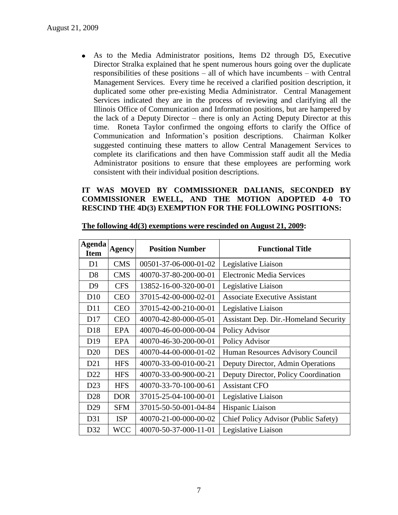As to the Media Administrator positions, Items D2 through D5, Executive Director Stralka explained that he spent numerous hours going over the duplicate responsibilities of these positions – all of which have incumbents – with Central Management Services. Every time he received a clarified position description, it duplicated some other pre-existing Media Administrator. Central Management Services indicated they are in the process of reviewing and clarifying all the Illinois Office of Communication and Information positions, but are hampered by the lack of a Deputy Director – there is only an Acting Deputy Director at this time. Roneta Taylor confirmed the ongoing efforts to clarify the Office of Communication and Information's position descriptions. Chairman Kolker suggested continuing these matters to allow Central Management Services to complete its clarifications and then have Commission staff audit all the Media Administrator positions to ensure that these employees are performing work consistent with their individual position descriptions.

### **IT WAS MOVED BY COMMISSIONER DALIANIS, SECONDED BY COMMISSIONER EWELL, AND THE MOTION ADOPTED 4-0 TO RESCIND THE 4D(3) EXEMPTION FOR THE FOLLOWING POSITIONS:**

| Agenda<br><b>Item</b> | Agency     | <b>Position Number</b> | <b>Functional Title</b>               |
|-----------------------|------------|------------------------|---------------------------------------|
| D <sub>1</sub>        | <b>CMS</b> | 00501-37-06-000-01-02  | Legislative Liaison                   |
| D <sub>8</sub>        | <b>CMS</b> | 40070-37-80-200-00-01  | <b>Electronic Media Services</b>      |
| D <sup>9</sup>        | <b>CFS</b> | 13852-16-00-320-00-01  | Legislative Liaison                   |
| D10                   | <b>CEO</b> | 37015-42-00-000-02-01  | <b>Associate Executive Assistant</b>  |
| D11                   | <b>CEO</b> | 37015-42-00-210-00-01  | Legislative Liaison                   |
| D17                   | <b>CEO</b> | 40070-42-80-000-05-01  | Assistant Dep. Dir.-Homeland Security |
| D <sub>18</sub>       | <b>EPA</b> | 40070-46-00-000-00-04  | Policy Advisor                        |
| D <sub>19</sub>       | <b>EPA</b> | 40070-46-30-200-00-01  | Policy Advisor                        |
| D <sub>20</sub>       | <b>DES</b> | 40070-44-00-000-01-02  | Human Resources Advisory Council      |
| D21                   | <b>HFS</b> | 40070-33-00-010-00-21  | Deputy Director, Admin Operations     |
| D22                   | <b>HFS</b> | 40070-33-00-900-00-21  | Deputy Director, Policy Coordination  |
| D23                   | <b>HFS</b> | 40070-33-70-100-00-61  | <b>Assistant CFO</b>                  |
| D <sub>28</sub>       | <b>DOR</b> | 37015-25-04-100-00-01  | Legislative Liaison                   |
| D29                   | <b>SFM</b> | 37015-50-50-001-04-84  | Hispanic Liaison                      |
| D31                   | <b>ISP</b> | 40070-21-00-000-00-02  | Chief Policy Advisor (Public Safety)  |
| D32                   | <b>WCC</b> | 40070-50-37-000-11-01  | Legislative Liaison                   |

#### **The following 4d(3) exemptions were rescinded on August 21, 2009:**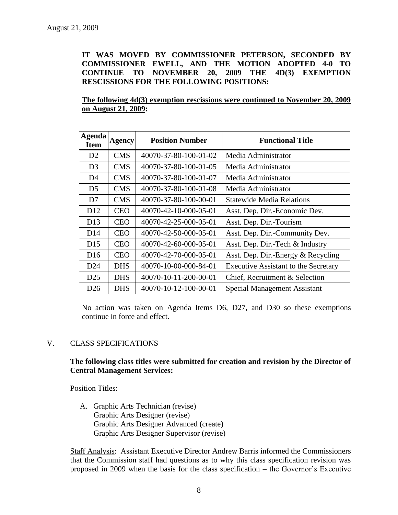**IT WAS MOVED BY COMMISSIONER PETERSON, SECONDED BY COMMISSIONER EWELL, AND THE MOTION ADOPTED 4-0 TO CONTINUE TO NOVEMBER 20, 2009 THE 4D(3) EXEMPTION RESCISSIONS FOR THE FOLLOWING POSITIONS:**

**The following 4d(3) exemption rescissions were continued to November 20, 2009 on August 21, 2009:**

| <b>Agenda</b><br><b>Item</b> | <b>Agency</b> | <b>Position Number</b> | <b>Functional Title</b>                     |
|------------------------------|---------------|------------------------|---------------------------------------------|
| D <sub>2</sub>               | <b>CMS</b>    | 40070-37-80-100-01-02  | Media Administrator                         |
| D <sub>3</sub>               | <b>CMS</b>    | 40070-37-80-100-01-05  | Media Administrator                         |
| D4                           | <b>CMS</b>    | 40070-37-80-100-01-07  | Media Administrator                         |
| D <sub>5</sub>               | <b>CMS</b>    | 40070-37-80-100-01-08  | Media Administrator                         |
| D7                           | <b>CMS</b>    | 40070-37-80-100-00-01  | <b>Statewide Media Relations</b>            |
| D <sub>12</sub>              | <b>CEO</b>    | 40070-42-10-000-05-01  | Asst. Dep. Dir.-Economic Dev.               |
| D13                          | <b>CEO</b>    | 40070-42-25-000-05-01  | Asst. Dep. Dir.-Tourism                     |
| D14                          | <b>CEO</b>    | 40070-42-50-000-05-01  | Asst. Dep. Dir.-Community Dev.              |
| D <sub>15</sub>              | <b>CEO</b>    | 40070-42-60-000-05-01  | Asst. Dep. Dir.-Tech & Industry             |
| D <sub>16</sub>              | <b>CEO</b>    | 40070-42-70-000-05-01  | Asst. Dep. Dir.-Energy & Recycling          |
| D <sub>24</sub>              | <b>DHS</b>    | 40070-10-00-000-84-01  | <b>Executive Assistant to the Secretary</b> |
| D <sub>25</sub>              | <b>DHS</b>    | 40070-10-11-200-00-01  | Chief, Recruitment & Selection              |
| D <sub>26</sub>              | <b>DHS</b>    | 40070-10-12-100-00-01  | <b>Special Management Assistant</b>         |

No action was taken on Agenda Items D6, D27, and D30 so these exemptions continue in force and effect.

### V. CLASS SPECIFICATIONS

### **The following class titles were submitted for creation and revision by the Director of Central Management Services:**

Position Titles:

 A. Graphic Arts Technician (revise) Graphic Arts Designer (revise) Graphic Arts Designer Advanced (create) Graphic Arts Designer Supervisor (revise)

Staff Analysis: Assistant Executive Director Andrew Barris informed the Commissioners that the Commission staff had questions as to why this class specification revision was proposed in 2009 when the basis for the class specification – the Governor's Executive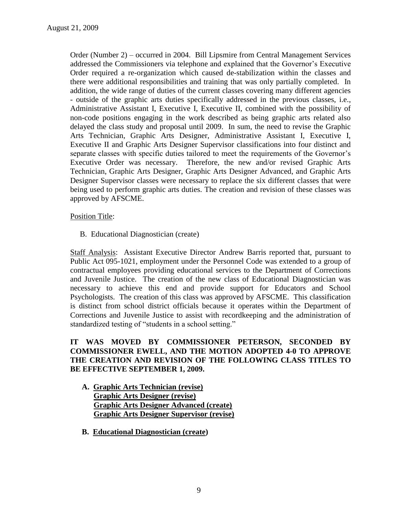Order (Number 2) – occurred in 2004. Bill Lipsmire from Central Management Services addressed the Commissioners via telephone and explained that the Governor's Executive Order required a re-organization which caused de-stabilization within the classes and there were additional responsibilities and training that was only partially completed. In addition, the wide range of duties of the current classes covering many different agencies - outside of the graphic arts duties specifically addressed in the previous classes, i.e., Administrative Assistant I, Executive I, Executive II, combined with the possibility of non-code positions engaging in the work described as being graphic arts related also delayed the class study and proposal until 2009. In sum, the need to revise the Graphic Arts Technician, Graphic Arts Designer, Administrative Assistant I, Executive I, Executive II and Graphic Arts Designer Supervisor classifications into four distinct and separate classes with specific duties tailored to meet the requirements of the Governor's Executive Order was necessary. Therefore, the new and/or revised Graphic Arts Technician, Graphic Arts Designer, Graphic Arts Designer Advanced, and Graphic Arts Designer Supervisor classes were necessary to replace the six different classes that were being used to perform graphic arts duties. The creation and revision of these classes was approved by AFSCME.

### Position Title:

B. Educational Diagnostician (create)

Staff Analysis: Assistant Executive Director Andrew Barris reported that, pursuant to Public Act 095-1021, employment under the Personnel Code was extended to a group of contractual employees providing educational services to the Department of Corrections and Juvenile Justice. The creation of the new class of Educational Diagnostician was necessary to achieve this end and provide support for Educators and School Psychologists. The creation of this class was approved by AFSCME. This classification is distinct from school district officials because it operates within the Department of Corrections and Juvenile Justice to assist with recordkeeping and the administration of standardized testing of "students in a school setting."

## **IT WAS MOVED BY COMMISSIONER PETERSON, SECONDED BY COMMISSIONER EWELL, AND THE MOTION ADOPTED 4-0 TO APPROVE THE CREATION AND REVISION OF THE FOLLOWING CLASS TITLES TO BE EFFECTIVE SEPTEMBER 1, 2009.**

- **A. Graphic Arts Technician (revise) Graphic Arts Designer (revise) Graphic Arts Designer Advanced (create) Graphic Arts Designer Supervisor (revise)**
- **B. Educational Diagnostician (create)**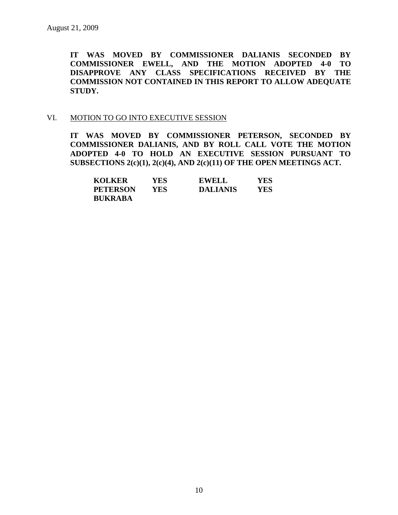**IT WAS MOVED BY COMMISSIONER DALIANIS SECONDED BY COMMISSIONER EWELL, AND THE MOTION ADOPTED 4-0 TO DISAPPROVE ANY CLASS SPECIFICATIONS RECEIVED BY THE COMMISSION NOT CONTAINED IN THIS REPORT TO ALLOW ADEQUATE STUDY.** 

### VI. MOTION TO GO INTO EXECUTIVE SESSION

**IT WAS MOVED BY COMMISSIONER PETERSON, SECONDED BY COMMISSIONER DALIANIS, AND BY ROLL CALL VOTE THE MOTION ADOPTED 4-0 TO HOLD AN EXECUTIVE SESSION PURSUANT TO SUBSECTIONS 2(c)(1), 2(c)(4), AND 2(c)(11) OF THE OPEN MEETINGS ACT.** 

| <b>KOLKER</b>   | YES. | <b>EWELL</b>    | YES |
|-----------------|------|-----------------|-----|
| <b>PETERSON</b> | YES. | <b>DALIANIS</b> | YES |
| <b>BUKRABA</b>  |      |                 |     |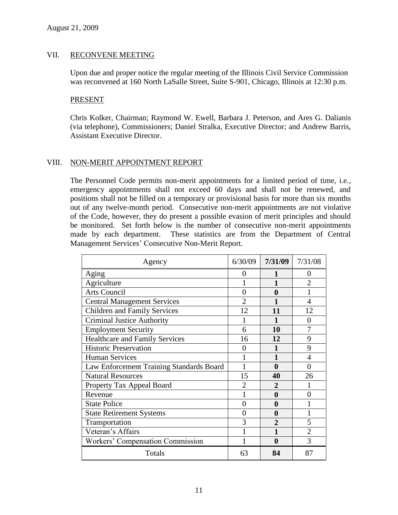### VII. RECONVENE MEETING

Upon due and proper notice the regular meeting of the Illinois Civil Service Commission was reconvened at 160 North LaSalle Street, Suite S-901, Chicago, Illinois at 12:30 p.m.

#### PRESENT

Chris Kolker, Chairman; Raymond W. Ewell, Barbara J. Peterson, and Ares G. Dalianis (via telephone), Commissioners; Daniel Stralka, Executive Director; and Andrew Barris, Assistant Executive Director.

### VIII. NON-MERIT APPOINTMENT REPORT

The Personnel Code permits non-merit appointments for a limited period of time, i.e., emergency appointments shall not exceed 60 days and shall not be renewed, and positions shall not be filled on a temporary or provisional basis for more than six months out of any twelve-month period. Consecutive non-merit appointments are not violative of the Code, however, they do present a possible evasion of merit principles and should be monitored. Set forth below is the number of consecutive non-merit appointments made by each department. These statistics are from the Department of Central Management Services' Consecutive Non-Merit Report.

| Agency                                   | 6/30/09           | 7/31/09          | 7/31/08        |
|------------------------------------------|-------------------|------------------|----------------|
| Aging                                    | $\mathbf{\Omega}$ |                  | $\mathbf{0}$   |
| Agriculture                              |                   |                  | $\overline{2}$ |
| <b>Arts Council</b>                      | 0                 | 0                |                |
| <b>Central Management Services</b>       | 2                 |                  | 4              |
| <b>Children and Family Services</b>      | 12                | 11               | 12             |
| <b>Criminal Justice Authority</b>        |                   | 1                | 0              |
| <b>Employment Security</b>               | 6                 | 10               | 7              |
| <b>Healthcare and Family Services</b>    | 16                | 12               | 9              |
| <b>Historic Preservation</b>             | $\Omega$          | 1                | 9              |
| <b>Human Services</b>                    |                   | 1                | 4              |
| Law Enforcement Training Standards Board |                   | 0                | 0              |
| <b>Natural Resources</b>                 | 15                | 40               | 26             |
| Property Tax Appeal Board                | $\mathfrak{D}$    | 2                |                |
| Revenue                                  |                   | 0                | 0              |
| <b>State Police</b>                      | 0                 | 0                |                |
| <b>State Retirement Systems</b>          | 0                 | 0                |                |
| Transportation                           | 3                 | $\overline{2}$   | 5              |
| Veteran's Affairs                        |                   |                  | $\overline{2}$ |
| Workers' Compensation Commission         | 1                 | $\boldsymbol{0}$ | 3              |
| Totals                                   | 63                | 84               | 87             |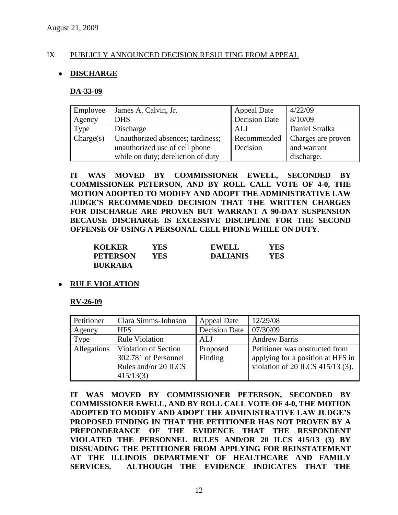### IX. PUBLICLY ANNOUNCED DECISION RESULTING FROM APPEAL

### **DISCHARGE**

#### **DA-33-09**

| Employee  | James A. Calvin, Jr.               | <b>Appeal Date</b>   | 4/22/09            |
|-----------|------------------------------------|----------------------|--------------------|
| Agency    | <b>DHS</b>                         | <b>Decision Date</b> | 8/10/09            |
| Type      | Discharge                          | ALJ                  | Daniel Stralka     |
| Change(s) | Unauthorized absences; tardiness;  | Recommended          | Charges are proven |
|           | unauthorized use of cell phone     | Decision             | and warrant        |
|           | while on duty; dereliction of duty |                      | discharge.         |

**IT WAS MOVED BY COMMISSIONER EWELL, SECONDED BY COMMISSIONER PETERSON, AND BY ROLL CALL VOTE OF 4-0, THE MOTION ADOPTED TO MODIFY AND ADOPT THE ADMINISTRATIVE LAW JUDGE'S RECOMMENDED DECISION THAT THE WRITTEN CHARGES FOR DISCHARGE ARE PROVEN BUT WARRANT A 90-DAY SUSPENSION BECAUSE DISCHARGE IS EXCESSIVE DISCIPLINE FOR THE SECOND OFFENSE OF USING A PERSONAL CELL PHONE WHILE ON DUTY.**

| <b>KOLKER</b>   | YES | <b>EWELL</b>    | YES |
|-----------------|-----|-----------------|-----|
| <b>PETERSON</b> | YES | <b>DALIANIS</b> | YES |
| <b>BUKRABA</b>  |     |                 |     |

### **RULE VIOLATION**

#### **RV-26-09**

| Petitioner  | Clara Simms-Johnson   | <b>Appeal Date</b>   | 12/29/08                          |
|-------------|-----------------------|----------------------|-----------------------------------|
| Agency      | <b>HFS</b>            | <b>Decision Date</b> | 07/30/09                          |
| Type        | <b>Rule Violation</b> | ALJ                  | <b>Andrew Barris</b>              |
| Allegations | Violation of Section  | Proposed             | Petitioner was obstructed from    |
|             | 302.781 of Personnel  | Finding              | applying for a position at HFS in |
|             | Rules and/or 20 ILCS  |                      | violation of 20 ILCS 415/13 (3).  |
|             | 415/13(3)             |                      |                                   |

**IT WAS MOVED BY COMMISSIONER PETERSON, SECONDED BY COMMISSIONER EWELL, AND BY ROLL CALL VOTE OF 4-0, THE MOTION ADOPTED TO MODIFY AND ADOPT THE ADMINISTRATIVE LAW JUDGE'S PROPOSED FINDING IN THAT THE PETITIONER HAS NOT PROVEN BY A PREPONDERANCE OF THE EVIDENCE THAT THE RESPONDENT VIOLATED THE PERSONNEL RULES AND/OR 20 ILCS 415/13 (3) BY DISSUADING THE PETITIONER FROM APPLYING FOR REINSTATEMENT AT THE ILLINOIS DEPARTMENT OF HEALTHCARE AND FAMILY SERVICES. ALTHOUGH THE EVIDENCE INDICATES THAT THE**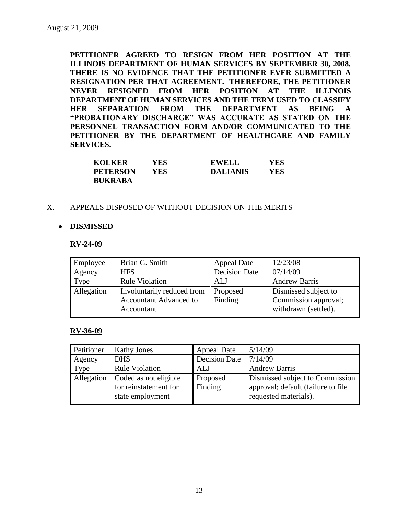**PETITIONER AGREED TO RESIGN FROM HER POSITION AT THE ILLINOIS DEPARTMENT OF HUMAN SERVICES BY SEPTEMBER 30, 2008, THERE IS NO EVIDENCE THAT THE PETITIONER EVER SUBMITTED A RESIGNATION PER THAT AGREEMENT. THEREFORE, THE PETITIONER NEVER RESIGNED FROM HER POSITION AT THE ILLINOIS DEPARTMENT OF HUMAN SERVICES AND THE TERM USED TO CLASSIFY HER SEPARATION FROM THE DEPARTMENT AS BEING A "PROBATIONARY DISCHARGE" WAS ACCURATE AS STATED ON THE PERSONNEL TRANSACTION FORM AND/OR COMMUNICATED TO THE PETITIONER BY THE DEPARTMENT OF HEALTHCARE AND FAMILY SERVICES.**

| <b>KOLKER</b>   | YES | <b>EWELL</b>    | YES  |
|-----------------|-----|-----------------|------|
| <b>PETERSON</b> | YES | <b>DALIANIS</b> | YES. |
| <b>BUKRABA</b>  |     |                 |      |

### X. APPEALS DISPOSED OF WITHOUT DECISION ON THE MERITS

### **DISMISSED**

#### **RV-24-09**

| Employee   | Brian G. Smith                                                            | <b>Appeal Date</b>   | 12/23/08                                                             |
|------------|---------------------------------------------------------------------------|----------------------|----------------------------------------------------------------------|
| Agency     | <b>HFS</b>                                                                | <b>Decision Date</b> | 07/14/09                                                             |
| Type       | <b>Rule Violation</b>                                                     | ALJ                  | <b>Andrew Barris</b>                                                 |
| Allegation | Involuntarily reduced from<br><b>Accountant Advanced to</b><br>Accountant | Proposed<br>Finding  | Dismissed subject to<br>Commission approval;<br>withdrawn (settled). |

### **RV-36-09**

| Petitioner | <b>Kathy Jones</b>                                                 | <b>Appeal Date</b>   | 5/14/09                                                                                         |  |
|------------|--------------------------------------------------------------------|----------------------|-------------------------------------------------------------------------------------------------|--|
| Agency     | <b>DHS</b>                                                         | <b>Decision Date</b> | 7/14/09                                                                                         |  |
| Type       | <b>Rule Violation</b>                                              | ALJ                  | <b>Andrew Barris</b>                                                                            |  |
| Allegation | Coded as not eligible<br>for reinstatement for<br>state employment | Proposed<br>Finding  | Dismissed subject to Commission<br>approval; default (failure to file)<br>requested materials). |  |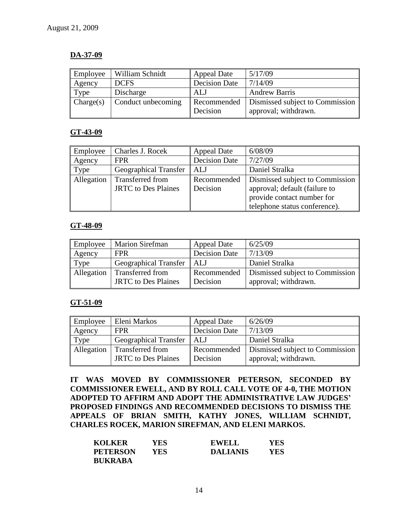### **DA-37-09**

| Employee  | William Schnidt    | <b>Appeal Date</b>   | 5/17/09                         |
|-----------|--------------------|----------------------|---------------------------------|
| Agency    | <b>DCFS</b>        | <b>Decision Date</b> | 7/14/09                         |
| Type      | Discharge          | ALJ                  | <b>Andrew Barris</b>            |
| Change(s) | Conduct unbecoming | Recommended          | Dismissed subject to Commission |
|           |                    | Decision             | approval; withdrawn.            |

### **GT-43-09**

| Employee   | Charles J. Rocek                                      | <b>Appeal Date</b>      | 6/08/09                                                                                                                         |  |
|------------|-------------------------------------------------------|-------------------------|---------------------------------------------------------------------------------------------------------------------------------|--|
| Agency     | <b>FPR</b>                                            | <b>Decision Date</b>    | 7/27/09                                                                                                                         |  |
| Type       | <b>Geographical Transfer</b>                          | ALJ                     | Daniel Stralka                                                                                                                  |  |
| Allegation | <b>Transferred from</b><br><b>JRTC</b> to Des Plaines | Recommended<br>Decision | Dismissed subject to Commission<br>approval; default (failure to<br>provide contact number for<br>telephone status conference). |  |

### **GT-48-09**

| Employee   | <b>Marion Sirefman</b>                                | <b>Appeal Date</b>      | 6/25/09                                                 |
|------------|-------------------------------------------------------|-------------------------|---------------------------------------------------------|
| Agency     | <b>FPR</b>                                            | <b>Decision Date</b>    | 7/13/09                                                 |
| Type       | <b>Geographical Transfer</b>                          | l ALJ                   | Daniel Stralka                                          |
| Allegation | <b>Transferred from</b><br><b>JRTC</b> to Des Plaines | Recommended<br>Decision | Dismissed subject to Commission<br>approval; withdrawn. |

### **GT-51-09**

| Employee   | Eleni Markos               | <b>Appeal Date</b>       | 6/26/09                                       |
|------------|----------------------------|--------------------------|-----------------------------------------------|
| Agency     | <b>FPR</b>                 | 7/13/09<br>Decision Date |                                               |
| Type       | Geographical Transfer      | l ALJ                    | Daniel Stralka                                |
| Allegation | Transferred from           |                          | Recommended   Dismissed subject to Commission |
|            | <b>JRTC</b> to Des Plaines | Decision                 | approval; withdrawn.                          |

**IT WAS MOVED BY COMMISSIONER PETERSON, SECONDED BY COMMISSIONER EWELL, AND BY ROLL CALL VOTE OF 4-0, THE MOTION ADOPTED TO AFFIRM AND ADOPT THE ADMINISTRATIVE LAW JUDGES' PROPOSED FINDINGS AND RECOMMENDED DECISIONS TO DISMISS THE APPEALS OF BRIAN SMITH, KATHY JONES, WILLIAM SCHNIDT, CHARLES ROCEK, MARION SIREFMAN, AND ELENI MARKOS.**

| <b>KOLKER</b>   | YES  | <b>EWELL</b>    | YES |
|-----------------|------|-----------------|-----|
| <b>PETERSON</b> | YES. | <b>DALIANIS</b> | YES |
| <b>BUKRABA</b>  |      |                 |     |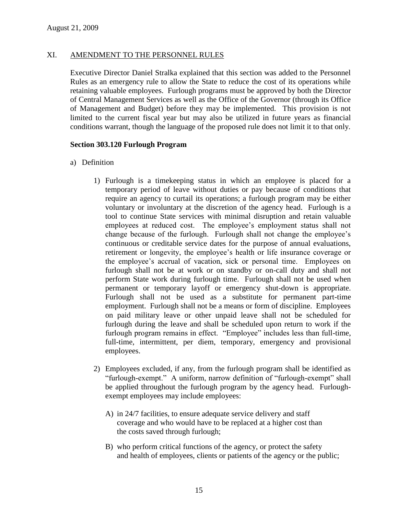#### XI. AMENDMENT TO THE PERSONNEL RULES

Executive Director Daniel Stralka explained that this section was added to the Personnel Rules as an emergency rule to allow the State to reduce the cost of its operations while retaining valuable employees. Furlough programs must be approved by both the Director of Central Management Services as well as the Office of the Governor (through its Office of Management and Budget) before they may be implemented. This provision is not limited to the current fiscal year but may also be utilized in future years as financial conditions warrant, though the language of the proposed rule does not limit it to that only.

#### **Section 303.120 Furlough Program**

- a) Definition
	- 1) Furlough is a timekeeping status in which an employee is placed for a temporary period of leave without duties or pay because of conditions that require an agency to curtail its operations; a furlough program may be either voluntary or involuntary at the discretion of the agency head. Furlough is a tool to continue State services with minimal disruption and retain valuable employees at reduced cost. The employee's employment status shall not change because of the furlough. Furlough shall not change the employee's continuous or creditable service dates for the purpose of annual evaluations, retirement or longevity, the employee's health or life insurance coverage or the employee's accrual of vacation, sick or personal time. Employees on furlough shall not be at work or on standby or on-call duty and shall not perform State work during furlough time. Furlough shall not be used when permanent or temporary layoff or emergency shut-down is appropriate. Furlough shall not be used as a substitute for permanent part-time employment. Furlough shall not be a means or form of discipline. Employees on paid military leave or other unpaid leave shall not be scheduled for furlough during the leave and shall be scheduled upon return to work if the furlough program remains in effect. "Employee" includes less than full-time, full-time, intermittent, per diem, temporary, emergency and provisional employees.
	- 2) Employees excluded, if any, from the furlough program shall be identified as "furlough-exempt." A uniform, narrow definition of "furlough-exempt" shall be applied throughout the furlough program by the agency head. Furloughexempt employees may include employees:
		- A) in 24/7 facilities, to ensure adequate service delivery and staff coverage and who would have to be replaced at a higher cost than the costs saved through furlough;
		- B) who perform critical functions of the agency, or protect the safety and health of employees, clients or patients of the agency or the public;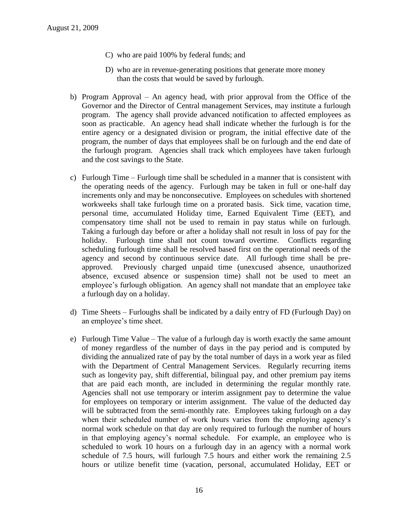- C) who are paid 100% by federal funds; and
- D) who are in revenue-generating positions that generate more money than the costs that would be saved by furlough.
- b) Program Approval An agency head, with prior approval from the Office of the Governor and the Director of Central management Services, may institute a furlough program. The agency shall provide advanced notification to affected employees as soon as practicable. An agency head shall indicate whether the furlough is for the entire agency or a designated division or program, the initial effective date of the program, the number of days that employees shall be on furlough and the end date of the furlough program. Agencies shall track which employees have taken furlough and the cost savings to the State.
- c) Furlough Time Furlough time shall be scheduled in a manner that is consistent with the operating needs of the agency. Furlough may be taken in full or one-half day increments only and may be nonconsecutive. Employees on schedules with shortened workweeks shall take furlough time on a prorated basis. Sick time, vacation time, personal time, accumulated Holiday time, Earned Equivalent Time (EET), and compensatory time shall not be used to remain in pay status while on furlough. Taking a furlough day before or after a holiday shall not result in loss of pay for the holiday. Furlough time shall not count toward overtime. Conflicts regarding scheduling furlough time shall be resolved based first on the operational needs of the agency and second by continuous service date. All furlough time shall be preapproved. Previously charged unpaid time (unexcused absence, unauthorized absence, excused absence or suspension time) shall not be used to meet an employee's furlough obligation. An agency shall not mandate that an employee take a furlough day on a holiday.
- d) Time Sheets Furloughs shall be indicated by a daily entry of FD (Furlough Day) on an employee's time sheet.
- e) Furlough Time Value The value of a furlough day is worth exactly the same amount of money regardless of the number of days in the pay period and is computed by dividing the annualized rate of pay by the total number of days in a work year as filed with the Department of Central Management Services. Regularly recurring items such as longevity pay, shift differential, bilingual pay, and other premium pay items that are paid each month, are included in determining the regular monthly rate. Agencies shall not use temporary or interim assignment pay to determine the value for employees on temporary or interim assignment. The value of the deducted day will be subtracted from the semi-monthly rate. Employees taking furlough on a day when their scheduled number of work hours varies from the employing agency's normal work schedule on that day are only required to furlough the number of hours in that employing agency's normal schedule. For example, an employee who is scheduled to work 10 hours on a furlough day in an agency with a normal work schedule of 7.5 hours, will furlough 7.5 hours and either work the remaining 2.5 hours or utilize benefit time (vacation, personal, accumulated Holiday, EET or